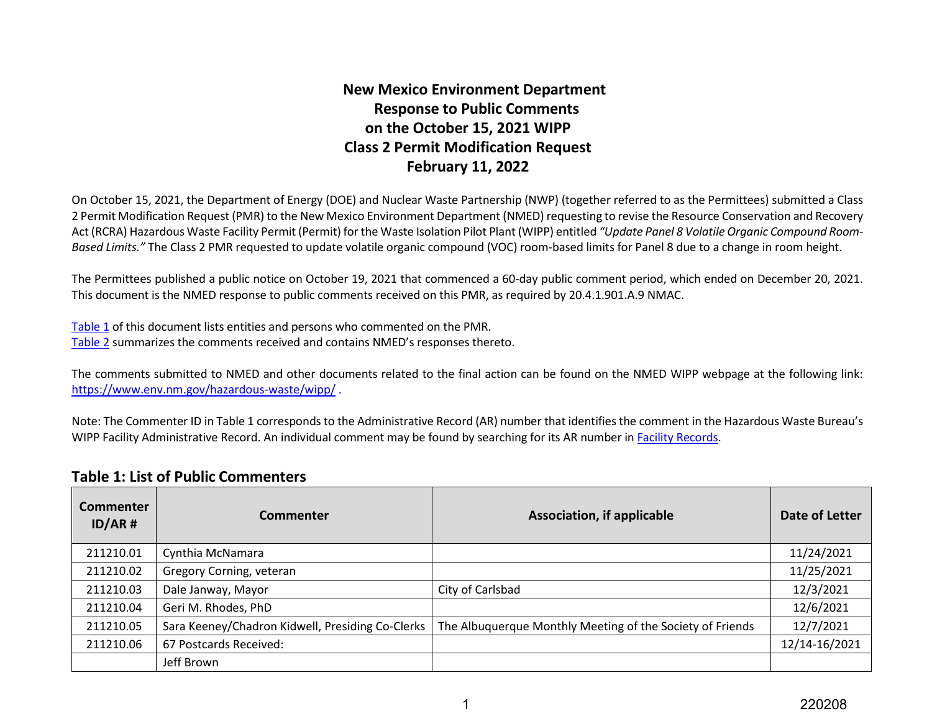## **New Mexico Environment Department Response to Public Comments on the October 15, 2021 WIPP Class 2 Permit Modification Request February 11, 2022**

On October 15, 2021, the Department of Energy (DOE) and Nuclear Waste Partnership (NWP) (together referred to as the Permittees) submitted a Class 2 Permit Modification Request (PMR) to the New Mexico Environment Department (NMED) requesting to revise the Resource Conservation and Recovery Act (RCRA) Hazardous Waste Facility Permit (Permit) for the Waste Isolation Pilot Plant (WIPP) entitled *"Update Panel 8 Volatile Organic Compound Room-Based Limits."* The Class 2 PMR requested to update volatile organic compound (VOC) room-based limits for Panel 8 due to a change in room height.

The Permittees published a public notice on October 19, 2021 that commenced a 60-day public comment period, which ended on December 20, 2021. This document is the NMED response to public comments received on this PMR, as required by 20.4.1.901.A.9 NMAC.

[Table 1](#page-0-0) of this document lists entities and persons who commented on the PMR. [Table 2](#page-4-0) summarizes the comments received and contains NMED's responses thereto.

The comments submitted to NMED and other documents related to the final action can be found on the NMED WIPP webpage at the following link: <https://www.env.nm.gov/hazardous-waste/wipp/>.

Note: The Commenter ID in Table 1 corresponds to the Administrative Record (AR) number that identifies the comment in the Hazardous Waste Bureau's WIPP Facility Administrative Record. An individual comment may be found by searching for its AR number i[n Facility Records.](https://hwbdocuments.env.nm.gov/Waste%20Isolation%20Pilot%20Plant/)

## <span id="page-0-0"></span>**Table 1: List of Public Commenters**

| <b>Commenter</b><br>$ID/AR$ # | Commenter                                        | <b>Association, if applicable</b>                         | Date of Letter |
|-------------------------------|--------------------------------------------------|-----------------------------------------------------------|----------------|
| 211210.01                     | Cynthia McNamara                                 |                                                           | 11/24/2021     |
| 211210.02                     | Gregory Corning, veteran                         |                                                           | 11/25/2021     |
| 211210.03                     | Dale Janway, Mayor                               | City of Carlsbad                                          | 12/3/2021      |
| 211210.04                     | Geri M. Rhodes, PhD                              |                                                           | 12/6/2021      |
| 211210.05                     | Sara Keeney/Chadron Kidwell, Presiding Co-Clerks | The Albuquerque Monthly Meeting of the Society of Friends | 12/7/2021      |
| 211210.06                     | 67 Postcards Received:                           |                                                           | 12/14-16/2021  |
|                               | Jeff Brown                                       |                                                           |                |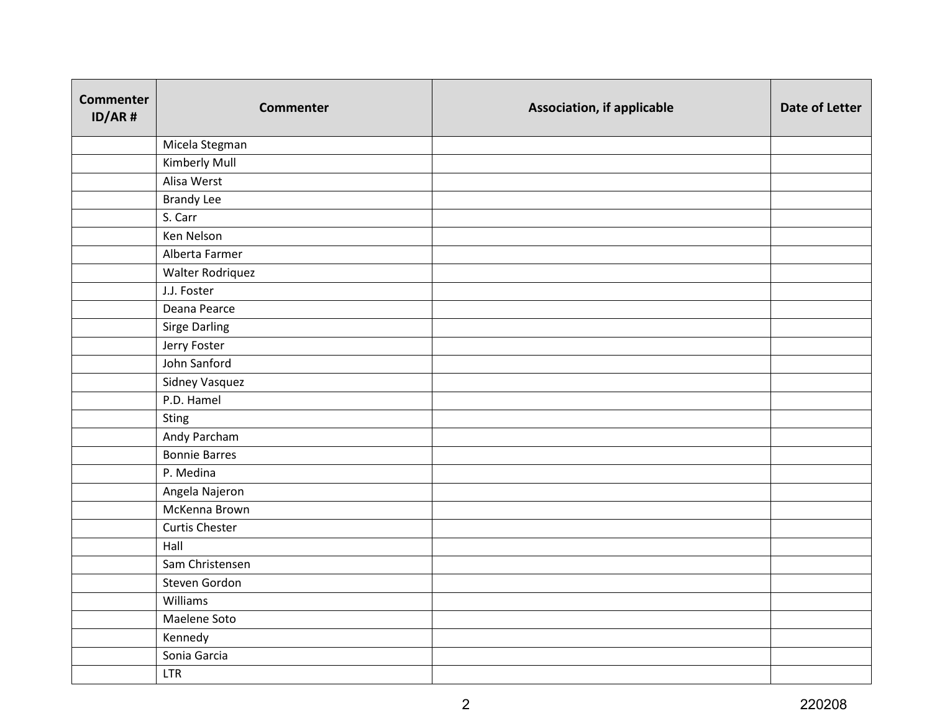| <b>Commenter</b><br>$ID/AR$ # | <b>Commenter</b>      | <b>Association, if applicable</b> | Date of Letter |
|-------------------------------|-----------------------|-----------------------------------|----------------|
|                               | Micela Stegman        |                                   |                |
|                               | Kimberly Mull         |                                   |                |
|                               | Alisa Werst           |                                   |                |
|                               | <b>Brandy Lee</b>     |                                   |                |
|                               | S. Carr               |                                   |                |
|                               | Ken Nelson            |                                   |                |
|                               | Alberta Farmer        |                                   |                |
|                               | Walter Rodriquez      |                                   |                |
|                               | J.J. Foster           |                                   |                |
|                               | Deana Pearce          |                                   |                |
|                               | <b>Sirge Darling</b>  |                                   |                |
|                               | Jerry Foster          |                                   |                |
|                               | John Sanford          |                                   |                |
|                               | Sidney Vasquez        |                                   |                |
|                               | P.D. Hamel            |                                   |                |
|                               | Sting                 |                                   |                |
|                               | Andy Parcham          |                                   |                |
|                               | <b>Bonnie Barres</b>  |                                   |                |
|                               | P. Medina             |                                   |                |
|                               | Angela Najeron        |                                   |                |
|                               | McKenna Brown         |                                   |                |
|                               | <b>Curtis Chester</b> |                                   |                |
|                               | Hall                  |                                   |                |
|                               | Sam Christensen       |                                   |                |
|                               | Steven Gordon         |                                   |                |
|                               | Williams              |                                   |                |
|                               | Maelene Soto          |                                   |                |
|                               | Kennedy               |                                   |                |
|                               | Sonia Garcia          |                                   |                |
|                               | <b>LTR</b>            |                                   |                |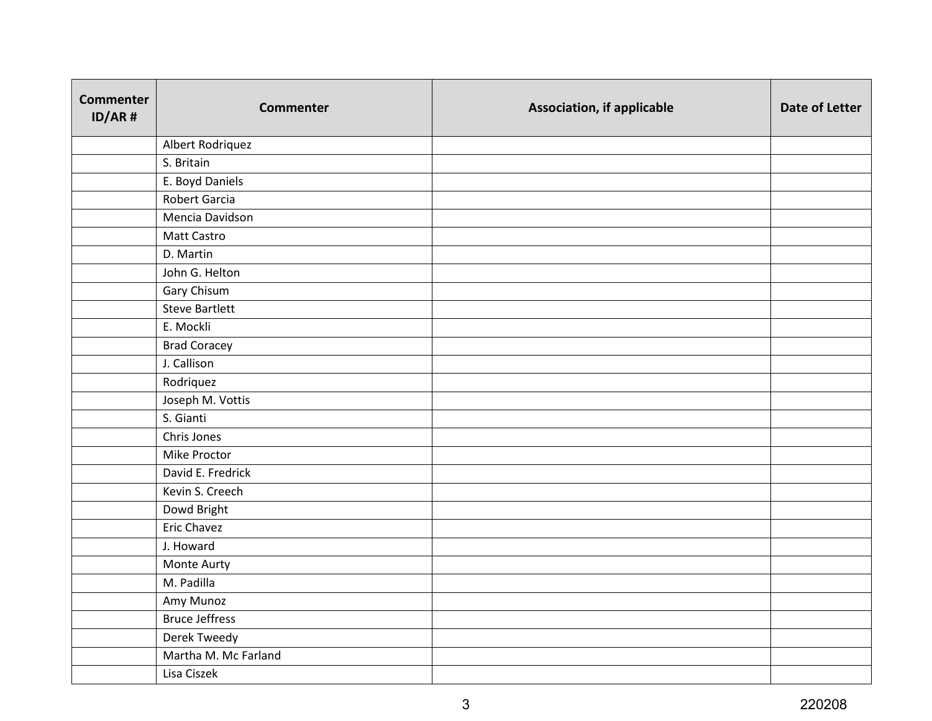| <b>Commenter</b><br>$ID/AR$ # | <b>Commenter</b>      | <b>Association, if applicable</b> | Date of Letter |
|-------------------------------|-----------------------|-----------------------------------|----------------|
|                               | Albert Rodriquez      |                                   |                |
|                               | S. Britain            |                                   |                |
|                               | E. Boyd Daniels       |                                   |                |
|                               | <b>Robert Garcia</b>  |                                   |                |
|                               | Mencia Davidson       |                                   |                |
|                               | <b>Matt Castro</b>    |                                   |                |
|                               | D. Martin             |                                   |                |
|                               | John G. Helton        |                                   |                |
|                               | Gary Chisum           |                                   |                |
|                               | Steve Bartlett        |                                   |                |
|                               | E. Mockli             |                                   |                |
|                               | <b>Brad Coracey</b>   |                                   |                |
|                               | J. Callison           |                                   |                |
|                               | Rodriquez             |                                   |                |
|                               | Joseph M. Vottis      |                                   |                |
|                               | S. Gianti             |                                   |                |
|                               | Chris Jones           |                                   |                |
|                               | Mike Proctor          |                                   |                |
|                               | David E. Fredrick     |                                   |                |
|                               | Kevin S. Creech       |                                   |                |
|                               | Dowd Bright           |                                   |                |
|                               | <b>Eric Chavez</b>    |                                   |                |
|                               | J. Howard             |                                   |                |
|                               | Monte Aurty           |                                   |                |
|                               | M. Padilla            |                                   |                |
|                               | Amy Munoz             |                                   |                |
|                               | <b>Bruce Jeffress</b> |                                   |                |
|                               | Derek Tweedy          |                                   |                |
|                               | Martha M. Mc Farland  |                                   |                |
|                               | Lisa Ciszek           |                                   |                |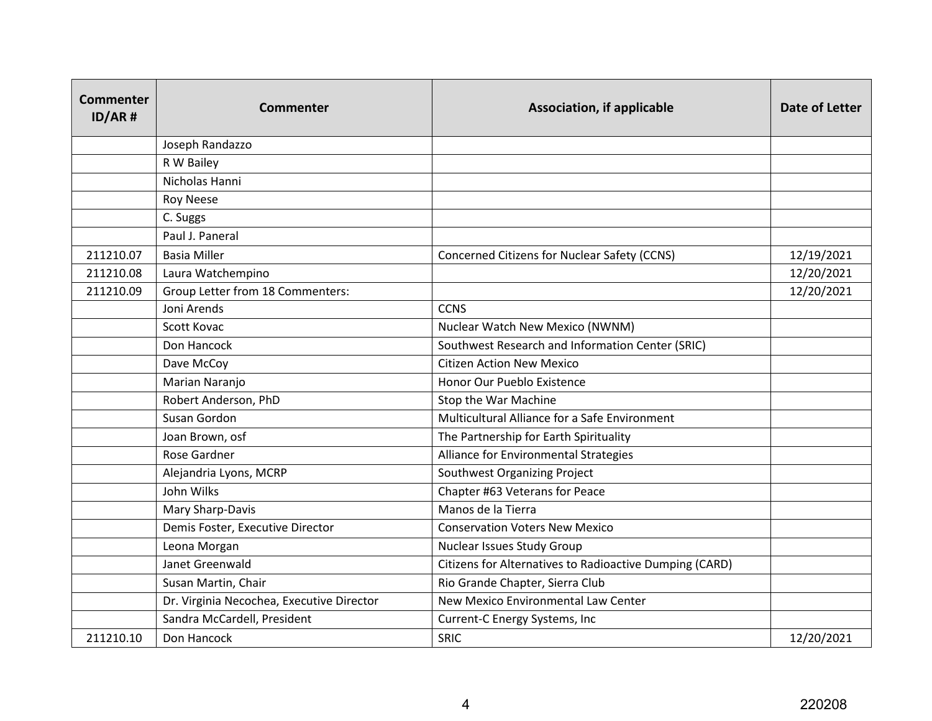| Commenter<br>$ID/AR$ # | Commenter                                 | Association, if applicable                              | Date of Letter |
|------------------------|-------------------------------------------|---------------------------------------------------------|----------------|
|                        | Joseph Randazzo                           |                                                         |                |
|                        | R W Bailey                                |                                                         |                |
|                        | Nicholas Hanni                            |                                                         |                |
|                        | <b>Roy Neese</b>                          |                                                         |                |
|                        | C. Suggs                                  |                                                         |                |
|                        | Paul J. Paneral                           |                                                         |                |
| 211210.07              | <b>Basia Miller</b>                       | Concerned Citizens for Nuclear Safety (CCNS)            | 12/19/2021     |
| 211210.08              | Laura Watchempino                         |                                                         | 12/20/2021     |
| 211210.09              | Group Letter from 18 Commenters:          |                                                         | 12/20/2021     |
|                        | Joni Arends                               | <b>CCNS</b>                                             |                |
|                        | Scott Kovac                               | Nuclear Watch New Mexico (NWNM)                         |                |
|                        | Don Hancock                               | Southwest Research and Information Center (SRIC)        |                |
|                        | Dave McCoy                                | <b>Citizen Action New Mexico</b>                        |                |
|                        | Marian Naranjo                            | Honor Our Pueblo Existence                              |                |
|                        | Robert Anderson, PhD                      | Stop the War Machine                                    |                |
|                        | Susan Gordon                              | Multicultural Alliance for a Safe Environment           |                |
|                        | Joan Brown, osf                           | The Partnership for Earth Spirituality                  |                |
|                        | <b>Rose Gardner</b>                       | Alliance for Environmental Strategies                   |                |
|                        | Alejandria Lyons, MCRP                    | Southwest Organizing Project                            |                |
|                        | John Wilks                                | Chapter #63 Veterans for Peace                          |                |
|                        | Mary Sharp-Davis                          | Manos de la Tierra                                      |                |
|                        | Demis Foster, Executive Director          | <b>Conservation Voters New Mexico</b>                   |                |
|                        | Leona Morgan                              | <b>Nuclear Issues Study Group</b>                       |                |
|                        | Janet Greenwald                           | Citizens for Alternatives to Radioactive Dumping (CARD) |                |
|                        | Susan Martin, Chair                       | Rio Grande Chapter, Sierra Club                         |                |
|                        | Dr. Virginia Necochea, Executive Director | New Mexico Environmental Law Center                     |                |
|                        | Sandra McCardell, President               | Current-C Energy Systems, Inc                           |                |
| 211210.10              | Don Hancock                               | <b>SRIC</b>                                             | 12/20/2021     |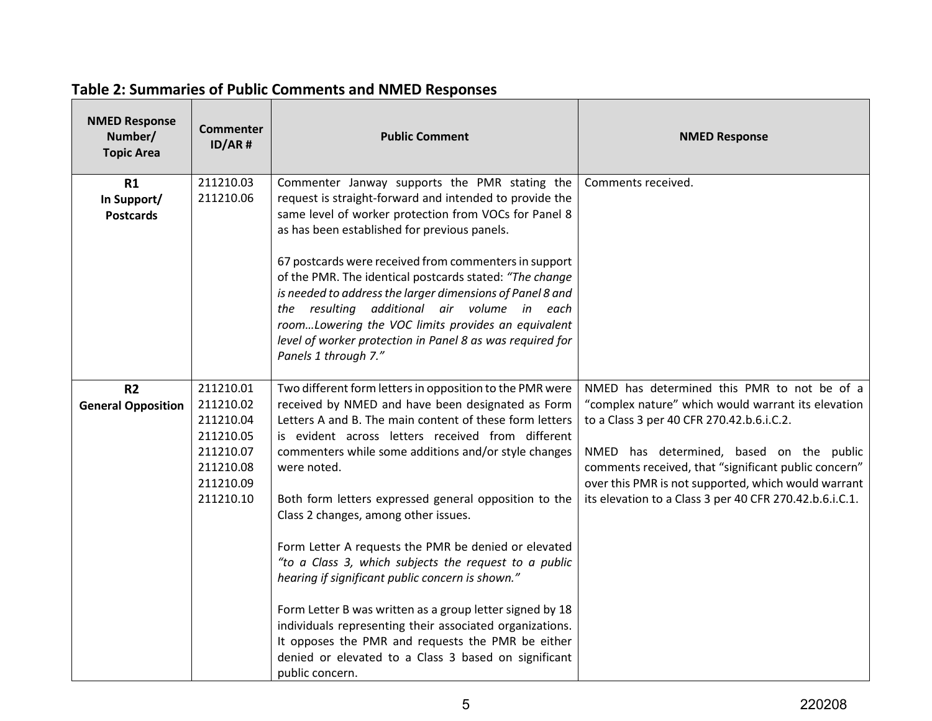| <b>NMED Response</b><br>Number/<br><b>Topic Area</b> | <b>Commenter</b><br>ID/AR#                                                                           | <b>Public Comment</b>                                                                                                                                                                                                                                                                                                                                                                                                                                                                                                                                                                                                                                                                                                                                                                                                              | <b>NMED Response</b>                                                                                                                                                                                                                                                                                                                                                 |
|------------------------------------------------------|------------------------------------------------------------------------------------------------------|------------------------------------------------------------------------------------------------------------------------------------------------------------------------------------------------------------------------------------------------------------------------------------------------------------------------------------------------------------------------------------------------------------------------------------------------------------------------------------------------------------------------------------------------------------------------------------------------------------------------------------------------------------------------------------------------------------------------------------------------------------------------------------------------------------------------------------|----------------------------------------------------------------------------------------------------------------------------------------------------------------------------------------------------------------------------------------------------------------------------------------------------------------------------------------------------------------------|
| R1<br>In Support/<br><b>Postcards</b>                | 211210.03<br>211210.06                                                                               | Commenter Janway supports the PMR stating the<br>request is straight-forward and intended to provide the<br>same level of worker protection from VOCs for Panel 8<br>as has been established for previous panels.<br>67 postcards were received from commenters in support<br>of the PMR. The identical postcards stated: "The change<br>is needed to address the larger dimensions of Panel 8 and<br>the resulting additional air volume in each<br>roomLowering the VOC limits provides an equivalent<br>level of worker protection in Panel 8 as was required for<br>Panels 1 through 7."                                                                                                                                                                                                                                       | Comments received.                                                                                                                                                                                                                                                                                                                                                   |
| R <sub>2</sub><br><b>General Opposition</b>          | 211210.01<br>211210.02<br>211210.04<br>211210.05<br>211210.07<br>211210.08<br>211210.09<br>211210.10 | Two different form letters in opposition to the PMR were<br>received by NMED and have been designated as Form<br>Letters A and B. The main content of these form letters<br>is evident across letters received from different<br>commenters while some additions and/or style changes<br>were noted.<br>Both form letters expressed general opposition to the<br>Class 2 changes, among other issues.<br>Form Letter A requests the PMR be denied or elevated<br>"to a Class 3, which subjects the request to a public<br>hearing if significant public concern is shown."<br>Form Letter B was written as a group letter signed by 18<br>individuals representing their associated organizations.<br>It opposes the PMR and requests the PMR be either<br>denied or elevated to a Class 3 based on significant<br>public concern. | NMED has determined this PMR to not be of a<br>"complex nature" which would warrant its elevation<br>to a Class 3 per 40 CFR 270.42.b.6.i.C.2.<br>NMED has determined, based on the public<br>comments received, that "significant public concern"<br>over this PMR is not supported, which would warrant<br>its elevation to a Class 3 per 40 CFR 270.42.b.6.i.C.1. |

## <span id="page-4-0"></span>**Table 2: Summaries of Public Comments and NMED Responses**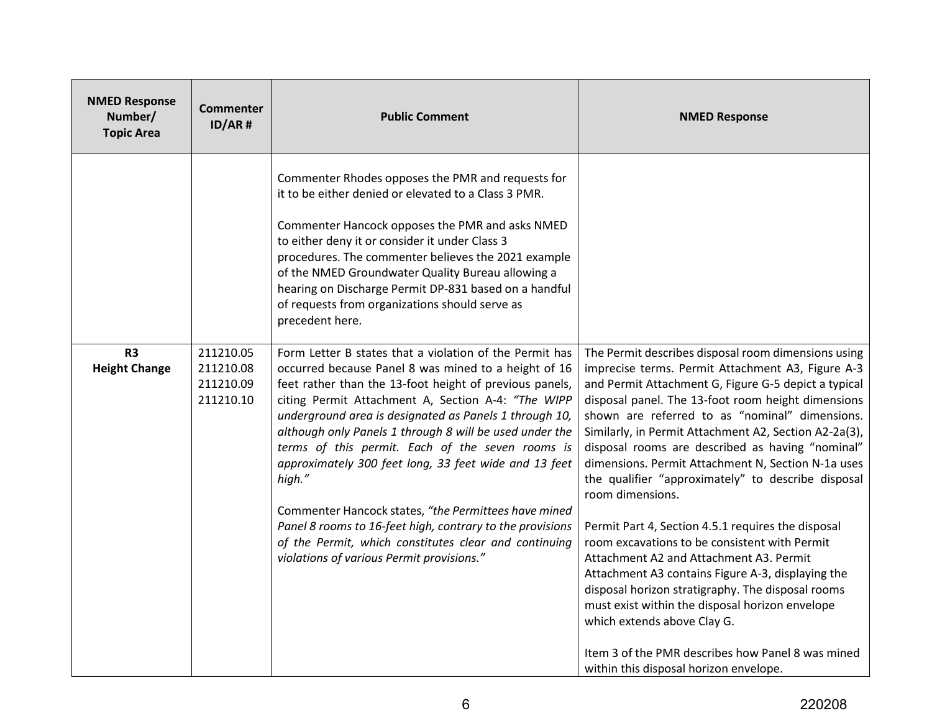| <b>NMED Response</b><br>Number/<br><b>Topic Area</b> | <b>Commenter</b><br>ID/AR#                       | <b>Public Comment</b>                                                                                                                                                                                                                                                                                                                                                                                                                                                                                                                                                                                                                                                                                   | <b>NMED Response</b>                                                                                                                                                                                                                                                                                                                                                                                                                                                                                                                                                                                                                                                                                                                                                                                                                                                                                                                                               |
|------------------------------------------------------|--------------------------------------------------|---------------------------------------------------------------------------------------------------------------------------------------------------------------------------------------------------------------------------------------------------------------------------------------------------------------------------------------------------------------------------------------------------------------------------------------------------------------------------------------------------------------------------------------------------------------------------------------------------------------------------------------------------------------------------------------------------------|--------------------------------------------------------------------------------------------------------------------------------------------------------------------------------------------------------------------------------------------------------------------------------------------------------------------------------------------------------------------------------------------------------------------------------------------------------------------------------------------------------------------------------------------------------------------------------------------------------------------------------------------------------------------------------------------------------------------------------------------------------------------------------------------------------------------------------------------------------------------------------------------------------------------------------------------------------------------|
|                                                      |                                                  | Commenter Rhodes opposes the PMR and requests for<br>it to be either denied or elevated to a Class 3 PMR.<br>Commenter Hancock opposes the PMR and asks NMED<br>to either deny it or consider it under Class 3<br>procedures. The commenter believes the 2021 example<br>of the NMED Groundwater Quality Bureau allowing a<br>hearing on Discharge Permit DP-831 based on a handful<br>of requests from organizations should serve as<br>precedent here.                                                                                                                                                                                                                                                |                                                                                                                                                                                                                                                                                                                                                                                                                                                                                                                                                                                                                                                                                                                                                                                                                                                                                                                                                                    |
| R <sub>3</sub><br><b>Height Change</b>               | 211210.05<br>211210.08<br>211210.09<br>211210.10 | Form Letter B states that a violation of the Permit has<br>occurred because Panel 8 was mined to a height of 16<br>feet rather than the 13-foot height of previous panels,<br>citing Permit Attachment A, Section A-4: "The WIPP<br>underground area is designated as Panels 1 through 10,<br>although only Panels 1 through 8 will be used under the<br>terms of this permit. Each of the seven rooms is<br>approximately 300 feet long, 33 feet wide and 13 feet<br>high."<br>Commenter Hancock states, "the Permittees have mined<br>Panel 8 rooms to 16-feet high, contrary to the provisions<br>of the Permit, which constitutes clear and continuing<br>violations of various Permit provisions." | The Permit describes disposal room dimensions using<br>imprecise terms. Permit Attachment A3, Figure A-3<br>and Permit Attachment G, Figure G-5 depict a typical<br>disposal panel. The 13-foot room height dimensions<br>shown are referred to as "nominal" dimensions.<br>Similarly, in Permit Attachment A2, Section A2-2a(3),<br>disposal rooms are described as having "nominal"<br>dimensions. Permit Attachment N, Section N-1a uses<br>the qualifier "approximately" to describe disposal<br>room dimensions.<br>Permit Part 4, Section 4.5.1 requires the disposal<br>room excavations to be consistent with Permit<br>Attachment A2 and Attachment A3. Permit<br>Attachment A3 contains Figure A-3, displaying the<br>disposal horizon stratigraphy. The disposal rooms<br>must exist within the disposal horizon envelope<br>which extends above Clay G.<br>Item 3 of the PMR describes how Panel 8 was mined<br>within this disposal horizon envelope. |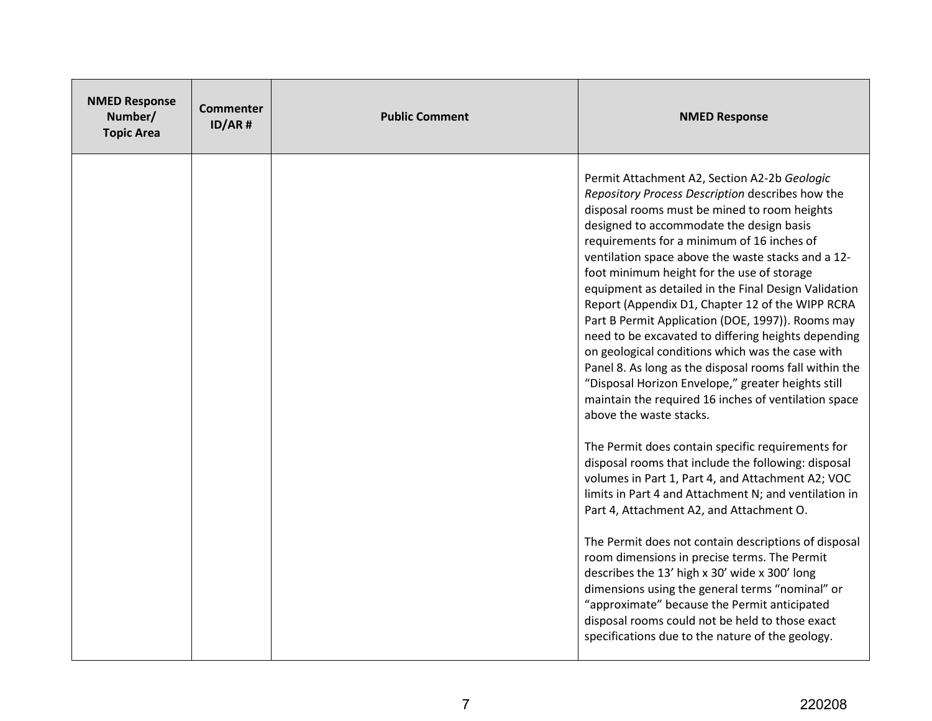| <b>NMED Response</b><br><b>Commenter</b><br>Number/<br>ID/AR#<br><b>Topic Area</b> | <b>Public Comment</b> | <b>NMED Response</b>                                                                                                                                                                                                                                                                                                                                                                                                                                                                                                                                                                                                                                                                                                                                                                                                                                                                                                                                                                                                                                                                                                                                                                                                                                                                                                                                                                                                                                                   |
|------------------------------------------------------------------------------------|-----------------------|------------------------------------------------------------------------------------------------------------------------------------------------------------------------------------------------------------------------------------------------------------------------------------------------------------------------------------------------------------------------------------------------------------------------------------------------------------------------------------------------------------------------------------------------------------------------------------------------------------------------------------------------------------------------------------------------------------------------------------------------------------------------------------------------------------------------------------------------------------------------------------------------------------------------------------------------------------------------------------------------------------------------------------------------------------------------------------------------------------------------------------------------------------------------------------------------------------------------------------------------------------------------------------------------------------------------------------------------------------------------------------------------------------------------------------------------------------------------|
|                                                                                    |                       | Permit Attachment A2, Section A2-2b Geologic<br>Repository Process Description describes how the<br>disposal rooms must be mined to room heights<br>designed to accommodate the design basis<br>requirements for a minimum of 16 inches of<br>ventilation space above the waste stacks and a 12-<br>foot minimum height for the use of storage<br>equipment as detailed in the Final Design Validation<br>Report (Appendix D1, Chapter 12 of the WIPP RCRA<br>Part B Permit Application (DOE, 1997)). Rooms may<br>need to be excavated to differing heights depending<br>on geological conditions which was the case with<br>Panel 8. As long as the disposal rooms fall within the<br>"Disposal Horizon Envelope," greater heights still<br>maintain the required 16 inches of ventilation space<br>above the waste stacks.<br>The Permit does contain specific requirements for<br>disposal rooms that include the following: disposal<br>volumes in Part 1, Part 4, and Attachment A2; VOC<br>limits in Part 4 and Attachment N; and ventilation in<br>Part 4, Attachment A2, and Attachment O.<br>The Permit does not contain descriptions of disposal<br>room dimensions in precise terms. The Permit<br>describes the 13' high x 30' wide x 300' long<br>dimensions using the general terms "nominal" or<br>"approximate" because the Permit anticipated<br>disposal rooms could not be held to those exact<br>specifications due to the nature of the geology. |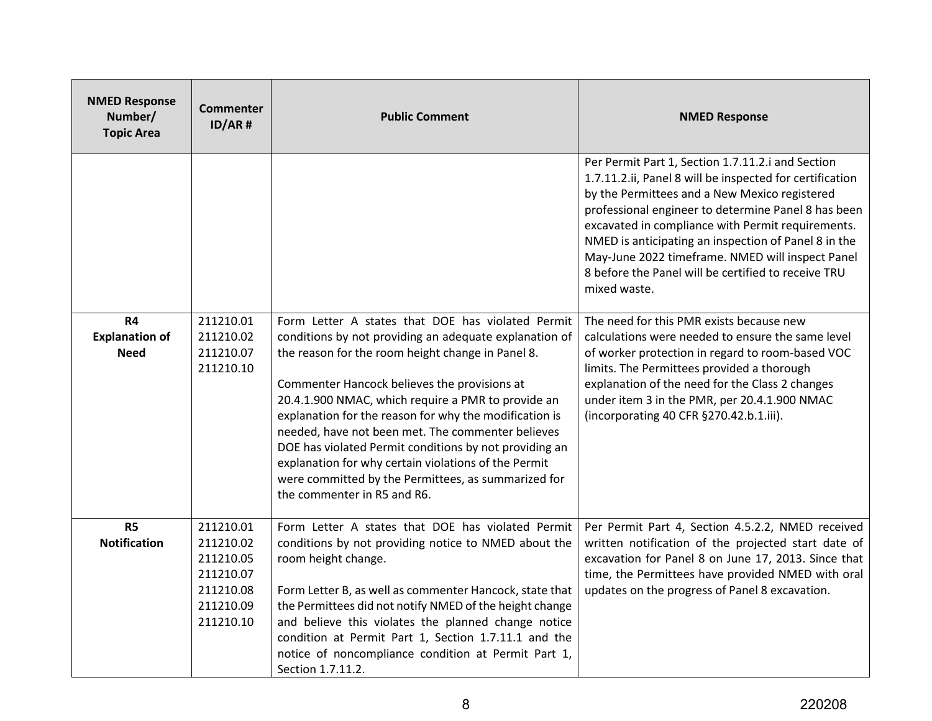| <b>NMED Response</b><br>Number/<br><b>Topic Area</b> | Commenter<br>$ID/AR$ #                                                                  | <b>Public Comment</b>                                                                                                                                                                                                                                                                                                                                                                                                                                                                                                                                                                         | <b>NMED Response</b>                                                                                                                                                                                                                                                                                                                                                                                                                                          |
|------------------------------------------------------|-----------------------------------------------------------------------------------------|-----------------------------------------------------------------------------------------------------------------------------------------------------------------------------------------------------------------------------------------------------------------------------------------------------------------------------------------------------------------------------------------------------------------------------------------------------------------------------------------------------------------------------------------------------------------------------------------------|---------------------------------------------------------------------------------------------------------------------------------------------------------------------------------------------------------------------------------------------------------------------------------------------------------------------------------------------------------------------------------------------------------------------------------------------------------------|
|                                                      |                                                                                         |                                                                                                                                                                                                                                                                                                                                                                                                                                                                                                                                                                                               | Per Permit Part 1, Section 1.7.11.2.i and Section<br>1.7.11.2.ii, Panel 8 will be inspected for certification<br>by the Permittees and a New Mexico registered<br>professional engineer to determine Panel 8 has been<br>excavated in compliance with Permit requirements.<br>NMED is anticipating an inspection of Panel 8 in the<br>May-June 2022 timeframe. NMED will inspect Panel<br>8 before the Panel will be certified to receive TRU<br>mixed waste. |
| R4<br><b>Explanation of</b><br><b>Need</b>           | 211210.01<br>211210.02<br>211210.07<br>211210.10                                        | Form Letter A states that DOE has violated Permit<br>conditions by not providing an adequate explanation of<br>the reason for the room height change in Panel 8.<br>Commenter Hancock believes the provisions at<br>20.4.1.900 NMAC, which require a PMR to provide an<br>explanation for the reason for why the modification is<br>needed, have not been met. The commenter believes<br>DOE has violated Permit conditions by not providing an<br>explanation for why certain violations of the Permit<br>were committed by the Permittees, as summarized for<br>the commenter in R5 and R6. | The need for this PMR exists because new<br>calculations were needed to ensure the same level<br>of worker protection in regard to room-based VOC<br>limits. The Permittees provided a thorough<br>explanation of the need for the Class 2 changes<br>under item 3 in the PMR, per 20.4.1.900 NMAC<br>(incorporating 40 CFR §270.42.b.1.iii).                                                                                                                 |
| <b>R5</b><br><b>Notification</b>                     | 211210.01<br>211210.02<br>211210.05<br>211210.07<br>211210.08<br>211210.09<br>211210.10 | Form Letter A states that DOE has violated Permit<br>conditions by not providing notice to NMED about the<br>room height change.<br>Form Letter B, as well as commenter Hancock, state that<br>the Permittees did not notify NMED of the height change<br>and believe this violates the planned change notice<br>condition at Permit Part 1, Section 1.7.11.1 and the<br>notice of noncompliance condition at Permit Part 1,<br>Section 1.7.11.2.                                                                                                                                             | Per Permit Part 4, Section 4.5.2.2, NMED received<br>written notification of the projected start date of<br>excavation for Panel 8 on June 17, 2013. Since that<br>time, the Permittees have provided NMED with oral<br>updates on the progress of Panel 8 excavation.                                                                                                                                                                                        |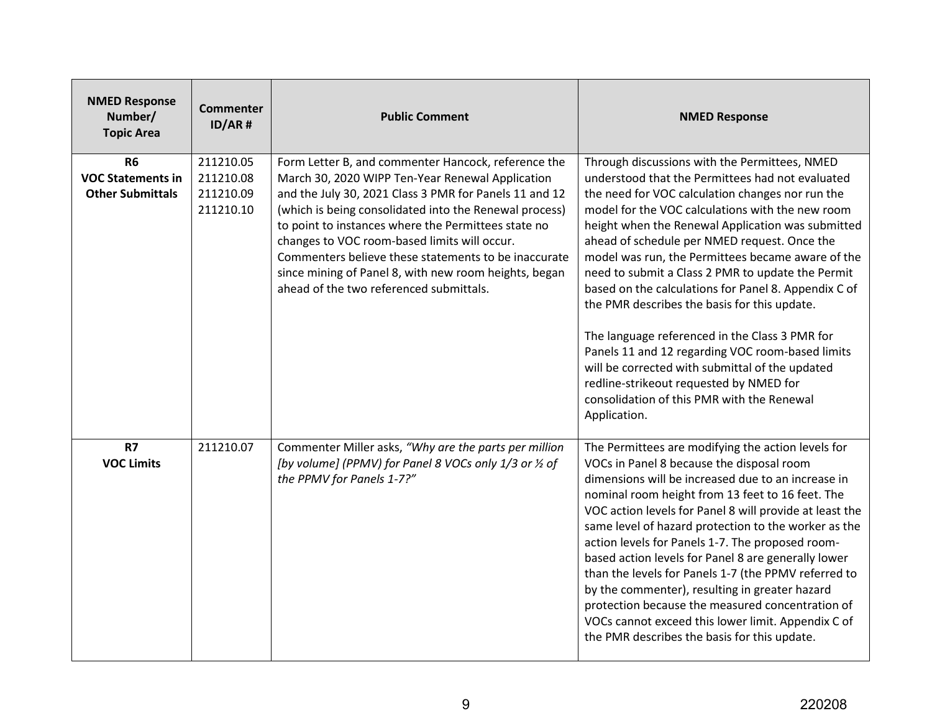| <b>NMED Response</b><br>Number/<br><b>Topic Area</b>             | <b>Commenter</b><br>ID/AR#                       | <b>Public Comment</b>                                                                                                                                                                                                                                                                                                                                                                                                                                                                          | <b>NMED Response</b>                                                                                                                                                                                                                                                                                                                                                                                                                                                                                                                                                                                                                                                                                                                                                                               |
|------------------------------------------------------------------|--------------------------------------------------|------------------------------------------------------------------------------------------------------------------------------------------------------------------------------------------------------------------------------------------------------------------------------------------------------------------------------------------------------------------------------------------------------------------------------------------------------------------------------------------------|----------------------------------------------------------------------------------------------------------------------------------------------------------------------------------------------------------------------------------------------------------------------------------------------------------------------------------------------------------------------------------------------------------------------------------------------------------------------------------------------------------------------------------------------------------------------------------------------------------------------------------------------------------------------------------------------------------------------------------------------------------------------------------------------------|
| <b>R6</b><br><b>VOC Statements in</b><br><b>Other Submittals</b> | 211210.05<br>211210.08<br>211210.09<br>211210.10 | Form Letter B, and commenter Hancock, reference the<br>March 30, 2020 WIPP Ten-Year Renewal Application<br>and the July 30, 2021 Class 3 PMR for Panels 11 and 12<br>(which is being consolidated into the Renewal process)<br>to point to instances where the Permittees state no<br>changes to VOC room-based limits will occur.<br>Commenters believe these statements to be inaccurate<br>since mining of Panel 8, with new room heights, began<br>ahead of the two referenced submittals. | Through discussions with the Permittees, NMED<br>understood that the Permittees had not evaluated<br>the need for VOC calculation changes nor run the<br>model for the VOC calculations with the new room<br>height when the Renewal Application was submitted<br>ahead of schedule per NMED request. Once the<br>model was run, the Permittees became aware of the<br>need to submit a Class 2 PMR to update the Permit<br>based on the calculations for Panel 8. Appendix C of<br>the PMR describes the basis for this update.<br>The language referenced in the Class 3 PMR for<br>Panels 11 and 12 regarding VOC room-based limits<br>will be corrected with submittal of the updated<br>redline-strikeout requested by NMED for<br>consolidation of this PMR with the Renewal<br>Application. |
| <b>R7</b><br><b>VOC Limits</b>                                   | 211210.07                                        | Commenter Miller asks, "Why are the parts per million<br>[by volume] (PPMV) for Panel 8 VOCs only 1/3 or 1/2 of<br>the PPMV for Panels 1-7?"                                                                                                                                                                                                                                                                                                                                                   | The Permittees are modifying the action levels for<br>VOCs in Panel 8 because the disposal room<br>dimensions will be increased due to an increase in<br>nominal room height from 13 feet to 16 feet. The<br>VOC action levels for Panel 8 will provide at least the<br>same level of hazard protection to the worker as the<br>action levels for Panels 1-7. The proposed room-<br>based action levels for Panel 8 are generally lower<br>than the levels for Panels 1-7 (the PPMV referred to<br>by the commenter), resulting in greater hazard<br>protection because the measured concentration of<br>VOCs cannot exceed this lower limit. Appendix C of<br>the PMR describes the basis for this update.                                                                                        |